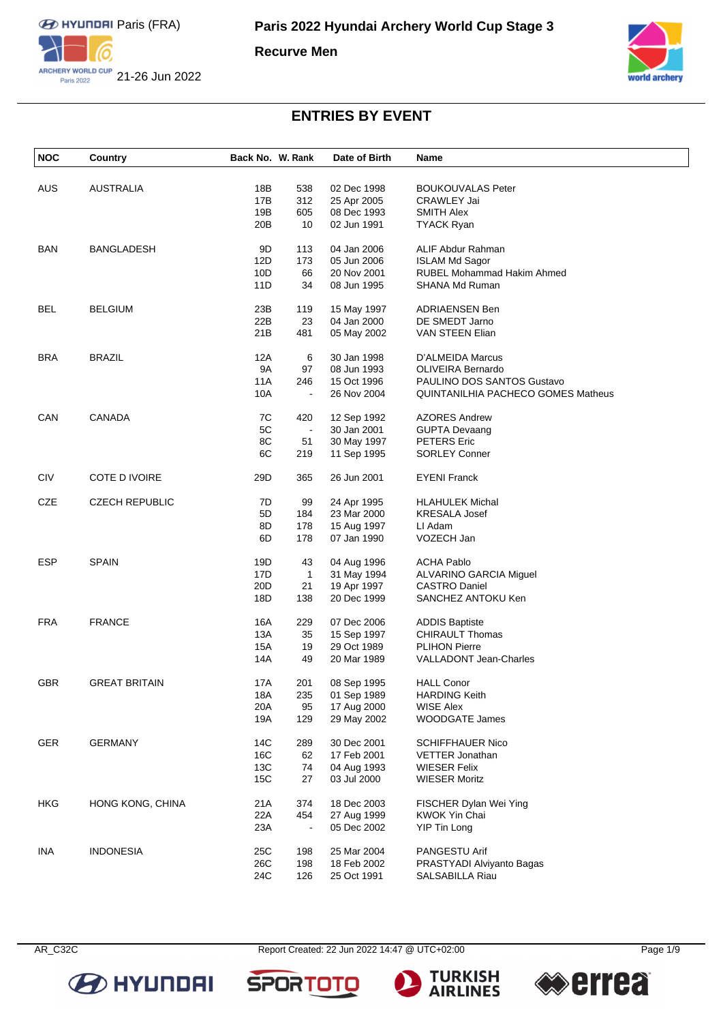

**Recurve Men**



### **ENTRIES BY EVENT**

| <b>NOC</b> | Country               | Back No. W. Rank |                | Date of Birth | Name                               |
|------------|-----------------------|------------------|----------------|---------------|------------------------------------|
|            |                       |                  |                |               |                                    |
| <b>AUS</b> | AUSTRALIA             | 18B              | 538            | 02 Dec 1998   | <b>BOUKOUVALAS Peter</b>           |
|            |                       | 17B              | 312            | 25 Apr 2005   | <b>CRAWLEY Jai</b>                 |
|            |                       | 19B              | 605            | 08 Dec 1993   | <b>SMITH Alex</b>                  |
|            |                       | 20B              | 10             | 02 Jun 1991   | <b>TYACK Ryan</b>                  |
| <b>BAN</b> | <b>BANGLADESH</b>     | 9D               | 113            | 04 Jan 2006   | ALIF Abdur Rahman                  |
|            |                       | 12D              | 173            | 05 Jun 2006   | <b>ISLAM Md Sagor</b>              |
|            |                       | 10D              | 66             | 20 Nov 2001   | RUBEL Mohammad Hakim Ahmed         |
|            |                       | 11D              | 34             | 08 Jun 1995   | SHANA Md Ruman                     |
| BEL        | <b>BELGIUM</b>        | 23B              | 119            | 15 May 1997   | <b>ADRIAENSEN Ben</b>              |
|            |                       | 22B              | 23             | 04 Jan 2000   | DE SMEDT Jarno                     |
|            |                       | 21B              | 481            | 05 May 2002   | VAN STEEN Elian                    |
|            |                       |                  |                |               |                                    |
| <b>BRA</b> | BRAZIL                | 12A              | 6              | 30 Jan 1998   | D'ALMEIDA Marcus                   |
|            |                       | <b>9A</b>        | 97             | 08 Jun 1993   | <b>OLIVEIRA Bernardo</b>           |
|            |                       | 11A              | 246            | 15 Oct 1996   | PAULINO DOS SANTOS Gustavo         |
|            |                       | 10A              | $\blacksquare$ | 26 Nov 2004   | QUINTANILHIA PACHECO GOMES Matheus |
| CAN        | <b>CANADA</b>         | 7C               | 420            | 12 Sep 1992   | <b>AZORES Andrew</b>               |
|            |                       | 5C               | $\Box$         | 30 Jan 2001   | <b>GUPTA Devaang</b>               |
|            |                       | 8C               | 51             | 30 May 1997   | <b>PETERS</b> Eric                 |
|            |                       | 6C               | 219            | 11 Sep 1995   | <b>SORLEY Conner</b>               |
|            |                       |                  |                |               |                                    |
| <b>CIV</b> | COTE D IVOIRE         | 29D              | 365            | 26 Jun 2001   | <b>EYENI Franck</b>                |
| CZE        | <b>CZECH REPUBLIC</b> | 7D               | 99             | 24 Apr 1995   | <b>HLAHULEK Michal</b>             |
|            |                       | 5D               | 184            | 23 Mar 2000   | <b>KRESALA Josef</b>               |
|            |                       | 8D               | 178            | 15 Aug 1997   | LI Adam                            |
|            |                       | 6D               | 178            | 07 Jan 1990   | VOZECH Jan                         |
| <b>ESP</b> | <b>SPAIN</b>          | 19D              | 43             | 04 Aug 1996   | <b>ACHA Pablo</b>                  |
|            |                       | 17D              | 1              | 31 May 1994   | ALVARINO GARCIA Miguel             |
|            |                       | 20 <sub>D</sub>  | 21             | 19 Apr 1997   | <b>CASTRO Daniel</b>               |
|            |                       | 18D              | 138            | 20 Dec 1999   | SANCHEZ ANTOKU Ken                 |
|            |                       |                  |                |               |                                    |
| <b>FRA</b> | <b>FRANCE</b>         | 16A              | 229            | 07 Dec 2006   | <b>ADDIS Baptiste</b>              |
|            |                       | 13A              | 35             | 15 Sep 1997   | <b>CHIRAULT Thomas</b>             |
|            |                       | 15A              | 19             | 29 Oct 1989   | <b>PLIHON Pierre</b>               |
|            |                       | 14A              | 49             | 20 Mar 1989   | <b>VALLADONT Jean-Charles</b>      |
| <b>GBR</b> | <b>GREAT BRITAIN</b>  | 17A              | 201            | 08 Sep 1995   | <b>HALL Conor</b>                  |
|            |                       | 18A              | 235            | 01 Sep 1989   | <b>HARDING Keith</b>               |
|            |                       | 20A              | 95             | 17 Aug 2000   | <b>WISE Alex</b>                   |
|            |                       | 19A              | 129            | 29 May 2002   | <b>WOODGATE James</b>              |
| <b>GER</b> | <b>GERMANY</b>        | 14C              | 289            | 30 Dec 2001   | <b>SCHIFFHAUER Nico</b>            |
|            |                       | 16C              | 62             | 17 Feb 2001   | <b>VETTER Jonathan</b>             |
|            |                       | 13C              | 74             | 04 Aug 1993   | <b>WIESER Felix</b>                |
|            |                       |                  |                |               |                                    |
|            |                       | 15C              | 27             | 03 Jul 2000   | <b>WIESER Moritz</b>               |
| <b>HKG</b> | HONG KONG, CHINA      | 21A              | 374            | 18 Dec 2003   | FISCHER Dylan Wei Ying             |
|            |                       | 22A              | 454            | 27 Aug 1999   | KWOK Yin Chai                      |
|            |                       | 23A              | $\blacksquare$ | 05 Dec 2002   | <b>YIP Tin Long</b>                |
| <b>INA</b> | <b>INDONESIA</b>      | 25C              | 198            | 25 Mar 2004   | PANGESTU Arif                      |
|            |                       | 26C              | 198            | 18 Feb 2002   | PRASTYADI Alviyanto Bagas          |
|            |                       | 24C              | 126            | 25 Oct 1991   | SALSABILLA Riau                    |



AR\_C32C Report Created: 22 Jun 2022 14:47 @ UTC+02:00 Page 1/9

**SPOR** 



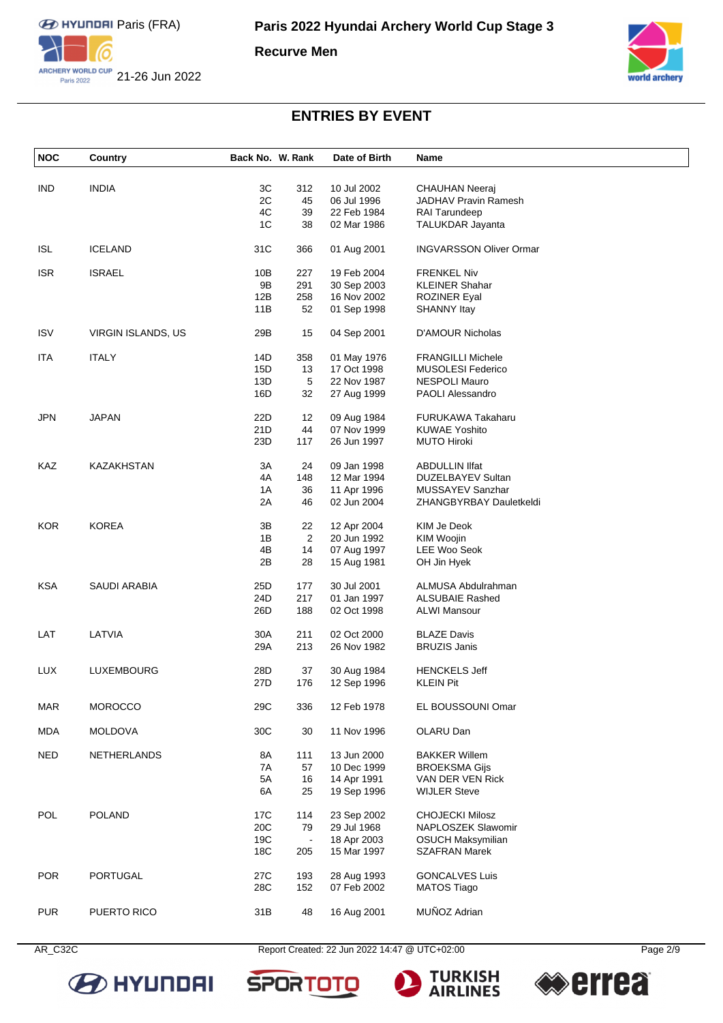

**Recurve Men**



### **ENTRIES BY EVENT**

| <b>NOC</b> | <b>Country</b>     | Back No. W. Rank |                   | Date of Birth | Name                           |
|------------|--------------------|------------------|-------------------|---------------|--------------------------------|
|            |                    |                  |                   |               |                                |
| IND        | <b>INDIA</b>       | 3C               | 312               | 10 Jul 2002   | CHAUHAN Neeraj                 |
|            |                    | 2C               | 45                | 06 Jul 1996   | JADHAV Pravin Ramesh           |
|            |                    | 4C               | 39                | 22 Feb 1984   | RAI Tarundeep                  |
|            |                    | 1C               | 38                | 02 Mar 1986   | TALUKDAR Jayanta               |
| <b>ISL</b> | <b>ICELAND</b>     | 31C              | 366               | 01 Aug 2001   | <b>INGVARSSON Oliver Ormar</b> |
| <b>ISR</b> | <b>ISRAEL</b>      | 10B              | 227               | 19 Feb 2004   | <b>FRENKEL Niv</b>             |
|            |                    | 9Β               | 291               | 30 Sep 2003   | <b>KLEINER Shahar</b>          |
|            |                    | 12B              | 258               | 16 Nov 2002   | <b>ROZINER Eyal</b>            |
|            |                    | 11B              | 52                | 01 Sep 1998   | <b>SHANNY Itay</b>             |
| <b>ISV</b> | VIRGIN ISLANDS, US | 29B              | 15                | 04 Sep 2001   | D'AMOUR Nicholas               |
| ITA        | <b>ITALY</b>       | 14D              | 358               | 01 May 1976   | <b>FRANGILLI Michele</b>       |
|            |                    | 15D              | 13                | 17 Oct 1998   | <b>MUSOLESI Federico</b>       |
|            |                    | 13D              | 5                 | 22 Nov 1987   | <b>NESPOLI Mauro</b>           |
|            |                    | 16D              | 32                | 27 Aug 1999   | <b>PAOLI Alessandro</b>        |
| JPN        | <b>JAPAN</b>       | 22D              | $12 \overline{ }$ | 09 Aug 1984   | <b>FURUKAWA Takaharu</b>       |
|            |                    | 21D              | 44                | 07 Nov 1999   | <b>KUWAE Yoshito</b>           |
|            |                    | 23D              | 117               | 26 Jun 1997   | <b>MUTO Hiroki</b>             |
| KAZ        | KAZAKHSTAN         | 3A               | 24                | 09 Jan 1998   | <b>ABDULLIN IIfat</b>          |
|            |                    | 4A               | 148               | 12 Mar 1994   | DUZELBAYEV Sultan              |
|            |                    | 1A               | 36                | 11 Apr 1996   | MUSSAYEV Sanzhar               |
|            |                    | 2A               | 46                | 02 Jun 2004   | ZHANGBYRBAY Dauletkeldi        |
| <b>KOR</b> | <b>KOREA</b>       | 3B               | 22                | 12 Apr 2004   | KIM Je Deok                    |
|            |                    | 1B               | 2                 | 20 Jun 1992   | KIM Woojin                     |
|            |                    | 4B               | 14                | 07 Aug 1997   | LEE Woo Seok                   |
|            |                    | 2Β               | 28                | 15 Aug 1981   | OH Jin Hyek                    |
| <b>KSA</b> | SAUDI ARABIA       | 25D              | 177               | 30 Jul 2001   | ALMUSA Abdulrahman             |
|            |                    | 24D              | 217               | 01 Jan 1997   | <b>ALSUBAIE Rashed</b>         |
|            |                    | 26D              | 188               | 02 Oct 1998   | <b>ALWI Mansour</b>            |
| LAT        | LATVIA             | 30A              | 211               | 02 Oct 2000   | <b>BLAZE Davis</b>             |
|            |                    | 29A              | 213               | 26 Nov 1982   | <b>BRUZIS Janis</b>            |
| LUX        | LUXEMBOURG         | 28D              | 37                | 30 Aug 1984   | <b>HENCKELS Jeff</b>           |
|            |                    | 27D              | 176               | 12 Sep 1996   | <b>KLEIN Pit</b>               |
| <b>MAR</b> | <b>MOROCCO</b>     | 29C              | 336               | 12 Feb 1978   | EL BOUSSOUNI Omar              |
|            |                    |                  |                   |               |                                |
| <b>MDA</b> | <b>MOLDOVA</b>     | 30C              | 30                | 11 Nov 1996   | OLARU Dan                      |
| <b>NED</b> | NETHERLANDS        | 8A               | 111               | 13 Jun 2000   | <b>BAKKER Willem</b>           |
|            |                    | 7A               | 57                | 10 Dec 1999   | <b>BROEKSMA Gijs</b>           |
|            |                    | 5A               | 16                | 14 Apr 1991   | VAN DER VEN Rick               |
|            |                    | 6A               | 25                | 19 Sep 1996   | <b>WIJLER Steve</b>            |
| POL        | <b>POLAND</b>      | 17C              | 114               | 23 Sep 2002   | <b>CHOJECKI Milosz</b>         |
|            |                    | 20C              | 79                | 29 Jul 1968   | NAPLOSZEK Slawomir             |
|            |                    | 19C              | $\blacksquare$    | 18 Apr 2003   | <b>OSUCH Maksymilian</b>       |
|            |                    | 18C              | 205               | 15 Mar 1997   | <b>SZAFRAN Marek</b>           |
| <b>POR</b> | PORTUGAL           | 27C              | 193               | 28 Aug 1993   | <b>GONCALVES Luis</b>          |
|            |                    | 28C              | 152               | 07 Feb 2002   | <b>MATOS Tiago</b>             |
|            |                    |                  |                   |               |                                |
| <b>PUR</b> | PUERTO RICO        | 31B              | 48                | 16 Aug 2001   | MUÑOZ Adrian                   |





**SPORTOT** 



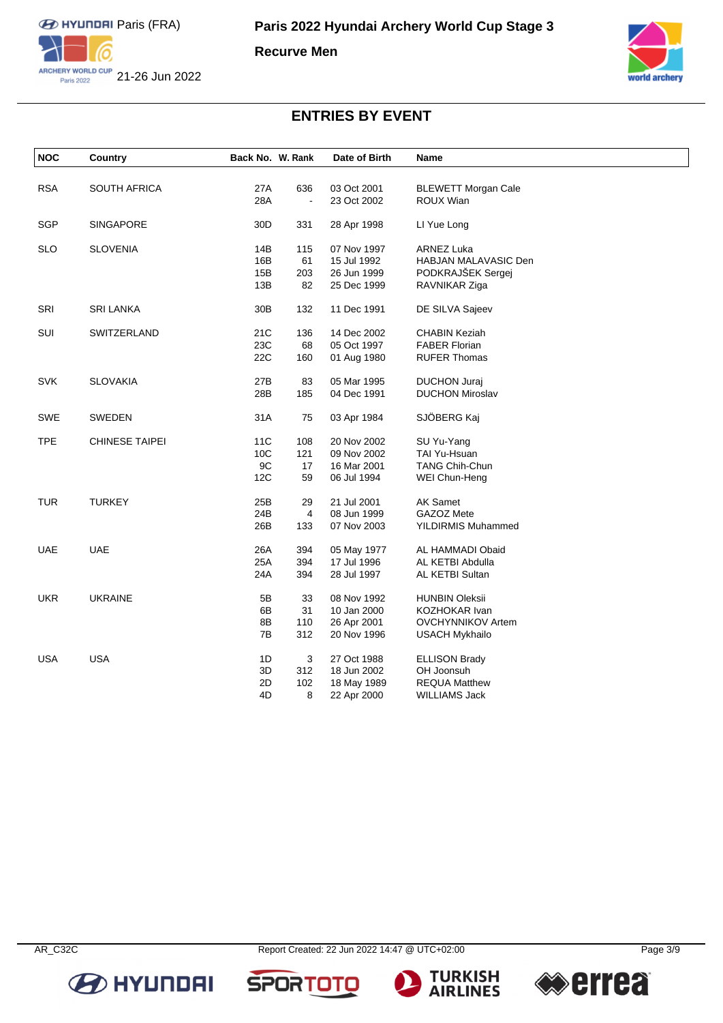

**Recurve Men**



# **ENTRIES BY EVENT**

| <b>NOC</b> | Country               | Back No. W. Rank |                          | Date of Birth | Name                       |  |
|------------|-----------------------|------------------|--------------------------|---------------|----------------------------|--|
|            |                       |                  |                          |               |                            |  |
| <b>RSA</b> | <b>SOUTH AFRICA</b>   | 27A              | 636                      | 03 Oct 2001   | <b>BLEWETT Morgan Cale</b> |  |
|            |                       | 28A              | $\overline{\phantom{a}}$ | 23 Oct 2002   | ROUX Wian                  |  |
| <b>SGP</b> | <b>SINGAPORE</b>      | 30D              | 331                      | 28 Apr 1998   | LI Yue Long                |  |
| <b>SLO</b> | <b>SLOVENIA</b>       | 14B              | 115                      | 07 Nov 1997   | <b>ARNEZ Luka</b>          |  |
|            |                       | 16B              | 61                       | 15 Jul 1992   | HABJAN MALAVASIC Den       |  |
|            |                       | 15B              | 203                      | 26 Jun 1999   | PODKRAJŠEK Sergej          |  |
|            |                       | 13B              | 82                       | 25 Dec 1999   | RAVNIKAR Ziga              |  |
| SRI        | <b>SRI LANKA</b>      | 30 <sub>B</sub>  | 132                      | 11 Dec 1991   | DE SILVA Sajeev            |  |
| SUI        | SWITZERLAND           | 21C              | 136                      | 14 Dec 2002   | <b>CHABIN Keziah</b>       |  |
|            |                       | 23C              | 68                       | 05 Oct 1997   | <b>FABER Florian</b>       |  |
|            |                       | 22C              | 160                      | 01 Aug 1980   | <b>RUFER Thomas</b>        |  |
| <b>SVK</b> | <b>SLOVAKIA</b>       | 27B              | 83                       | 05 Mar 1995   | <b>DUCHON Juraj</b>        |  |
|            |                       | 28B              | 185                      | 04 Dec 1991   | <b>DUCHON Miroslav</b>     |  |
| <b>SWE</b> | SWEDEN                | 31A              | 75                       | 03 Apr 1984   | SJÖBERG Kaj                |  |
| <b>TPE</b> | <b>CHINESE TAIPEI</b> | 11C              | 108                      | 20 Nov 2002   | SU Yu-Yang                 |  |
|            |                       | 10C              | 121                      | 09 Nov 2002   | TAI Yu-Hsuan               |  |
|            |                       | 9C               | 17                       | 16 Mar 2001   | <b>TANG Chih-Chun</b>      |  |
|            |                       | 12C              | 59                       | 06 Jul 1994   | WEI Chun-Heng              |  |
| <b>TUR</b> | <b>TURKEY</b>         | 25B              | 29                       | 21 Jul 2001   | <b>AK Samet</b>            |  |
|            |                       | 24B              | 4                        | 08 Jun 1999   | GAZOZ Mete                 |  |
|            |                       | 26B              | 133                      | 07 Nov 2003   | YILDIRMIS Muhammed         |  |
| <b>UAE</b> | <b>UAE</b>            | 26A              | 394                      | 05 May 1977   | AL HAMMADI Obaid           |  |
|            |                       | 25A              | 394                      | 17 Jul 1996   | AL KETBI Abdulla           |  |
|            |                       | 24A              | 394                      | 28 Jul 1997   | AL KETBI Sultan            |  |
| <b>UKR</b> | <b>UKRAINE</b>        | 5Β               | 33                       | 08 Nov 1992   | <b>HUNBIN Oleksii</b>      |  |
|            |                       | 6B               | 31                       | 10 Jan 2000   | <b>KOZHOKAR Ivan</b>       |  |
|            |                       | 8B               | 110                      | 26 Apr 2001   | <b>OVCHYNNIKOV Artem</b>   |  |
|            |                       | 7B               | 312                      | 20 Nov 1996   | <b>USACH Mykhailo</b>      |  |
| <b>USA</b> | <b>USA</b>            | 1D               | 3                        | 27 Oct 1988   | <b>ELLISON Brady</b>       |  |
|            |                       | 3D               | 312                      | 18 Jun 2002   | OH Joonsuh                 |  |
|            |                       | 2D               | 102                      | 18 May 1989   | <b>REQUA Matthew</b>       |  |
|            |                       | 4D               | 8                        | 22 Apr 2000   | <b>WILLIAMS Jack</b>       |  |









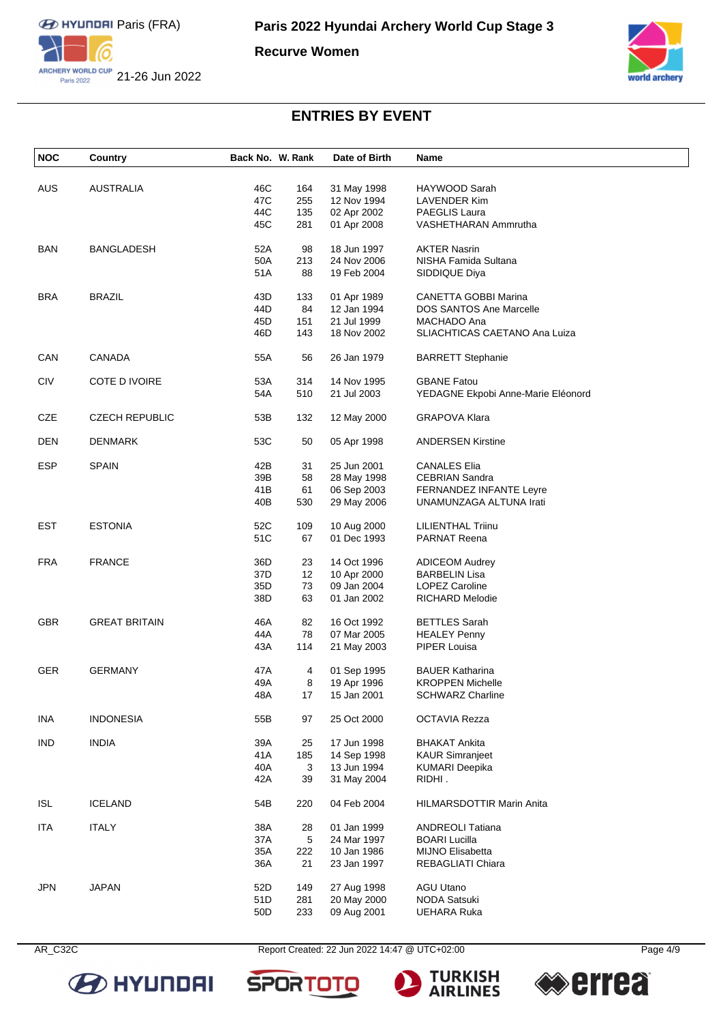

**Recurve Women**



# **ENTRIES BY EVENT**

| NOC        | Country               | Back No. W. Rank |     | Date of Birth | Name                               |
|------------|-----------------------|------------------|-----|---------------|------------------------------------|
|            |                       |                  |     |               |                                    |
| AUS        | <b>AUSTRALIA</b>      | 46C              | 164 | 31 May 1998   | HAYWOOD Sarah                      |
|            |                       | 47C              | 255 | 12 Nov 1994   | LAVENDER Kim                       |
|            |                       | 44C              | 135 | 02 Apr 2002   | PAEGLIS Laura                      |
|            |                       | 45C              |     |               |                                    |
|            |                       |                  | 281 | 01 Apr 2008   | VASHETHARAN Ammrutha               |
| <b>BAN</b> | <b>BANGLADESH</b>     | 52A              | 98  | 18 Jun 1997   | <b>AKTER Nasrin</b>                |
|            |                       | 50A              | 213 | 24 Nov 2006   | NISHA Famida Sultana               |
|            |                       | 51A              | 88  | 19 Feb 2004   | SIDDIQUE Diya                      |
|            |                       |                  |     |               |                                    |
| BRA        | <b>BRAZIL</b>         | 43D              | 133 | 01 Apr 1989   | <b>CANETTA GOBBI Marina</b>        |
|            |                       | 44D              | 84  | 12 Jan 1994   | <b>DOS SANTOS Ane Marcelle</b>     |
|            |                       | 45D              | 151 | 21 Jul 1999   | MACHADO Ana                        |
|            |                       | 46D              | 143 | 18 Nov 2002   | SLIACHTICAS CAETANO Ana Luiza      |
|            |                       |                  |     |               |                                    |
| CAN        | CANADA                | 55A              | 56  | 26 Jan 1979   | <b>BARRETT Stephanie</b>           |
| <b>CIV</b> | COTE D IVOIRE         | 53A              | 314 | 14 Nov 1995   | <b>GBANE Fatou</b>                 |
|            |                       | 54A              | 510 | 21 Jul 2003   | YEDAGNE Ekpobi Anne-Marie Eléonord |
|            |                       |                  |     |               |                                    |
| CZE        | <b>CZECH REPUBLIC</b> | 53B              | 132 | 12 May 2000   | <b>GRAPOVA Klara</b>               |
|            |                       |                  |     |               |                                    |
| <b>DEN</b> | DENMARK               | 53C              | 50  | 05 Apr 1998   | <b>ANDERSEN Kirstine</b>           |
| <b>ESP</b> | <b>SPAIN</b>          | 42B              | 31  | 25 Jun 2001   | <b>CANALES Elia</b>                |
|            |                       |                  |     |               |                                    |
|            |                       | 39B              | 58  | 28 May 1998   | <b>CEBRIAN Sandra</b>              |
|            |                       | 41B              | 61  | 06 Sep 2003   | <b>FERNANDEZ INFANTE Leyre</b>     |
|            |                       | 40B              | 530 | 29 May 2006   | UNAMUNZAGA ALTUNA Irati            |
| <b>EST</b> | <b>ESTONIA</b>        | 52C              | 109 | 10 Aug 2000   | <b>LILIENTHAL Triinu</b>           |
|            |                       | 51C              | 67  | 01 Dec 1993   | <b>PARNAT Reena</b>                |
|            |                       |                  |     |               |                                    |
| <b>FRA</b> | <b>FRANCE</b>         | 36D              | 23  | 14 Oct 1996   | <b>ADICEOM Audrey</b>              |
|            |                       | 37D              | 12  | 10 Apr 2000   | <b>BARBELIN Lisa</b>               |
|            |                       | 35D              | 73  | 09 Jan 2004   | LOPEZ Caroline                     |
|            |                       | 38D              | 63  | 01 Jan 2002   | <b>RICHARD Melodie</b>             |
|            |                       |                  |     |               |                                    |
| GBR        | <b>GREAT BRITAIN</b>  | 46A              | 82  | 16 Oct 1992   | <b>BETTLES Sarah</b>               |
|            |                       | 44A              | 78  | 07 Mar 2005   | <b>HEALEY Penny</b>                |
|            |                       | 43A              | 114 | 21 May 2003   | PIPER Louisa                       |
|            |                       |                  |     |               |                                    |
| <b>GER</b> | <b>GERMANY</b>        | 47 A             | 4   | 01 Sep 1995   | <b>BAUER Katharina</b>             |
|            |                       | 49A              | 8   | 19 Apr 1996   | <b>KROPPEN Michelle</b>            |
|            |                       | 48A              | 17  | 15 Jan 2001   | SCHWARZ Charline                   |
|            |                       |                  |     |               |                                    |
| <b>INA</b> | <b>INDONESIA</b>      | 55B              | 97  | 25 Oct 2000   | <b>OCTAVIA Rezza</b>               |
| <b>IND</b> | <b>INDIA</b>          | 39A              | 25  | 17 Jun 1998   | <b>BHAKAT Ankita</b>               |
|            |                       | 41A              | 185 | 14 Sep 1998   | <b>KAUR Simranjeet</b>             |
|            |                       |                  |     |               |                                    |
|            |                       | 40A              | 3   | 13 Jun 1994   | <b>KUMARI Deepika</b>              |
|            |                       | 42A              | 39  | 31 May 2004   | RIDHI.                             |
| <b>ISL</b> | <b>ICELAND</b>        | 54B              | 220 | 04 Feb 2004   | HILMARSDOTTIR Marin Anita          |
|            |                       |                  |     |               |                                    |
| <b>ITA</b> | <b>ITALY</b>          | 38A              | 28  | 01 Jan 1999   | <b>ANDREOLI Tatiana</b>            |
|            |                       | 37A              | 5   | 24 Mar 1997   | <b>BOARI Lucilla</b>               |
|            |                       | 35A              | 222 | 10 Jan 1986   | MIJNO Elisabetta                   |
|            |                       | 36A              | 21  | 23 Jan 1997   | REBAGLIATI Chiara                  |
|            |                       |                  |     |               |                                    |
| <b>JPN</b> | <b>JAPAN</b>          | 52D              | 149 | 27 Aug 1998   | <b>AGU Utano</b>                   |
|            |                       | 51D              | 281 | 20 May 2000   | <b>NODA Satsuki</b>                |
|            |                       | 50 <sub>D</sub>  | 233 | 09 Aug 2001   | <b>UEHARA Ruka</b>                 |



AR\_C32C Report Created: 22 Jun 2022 14:47 @ UTC+02:00





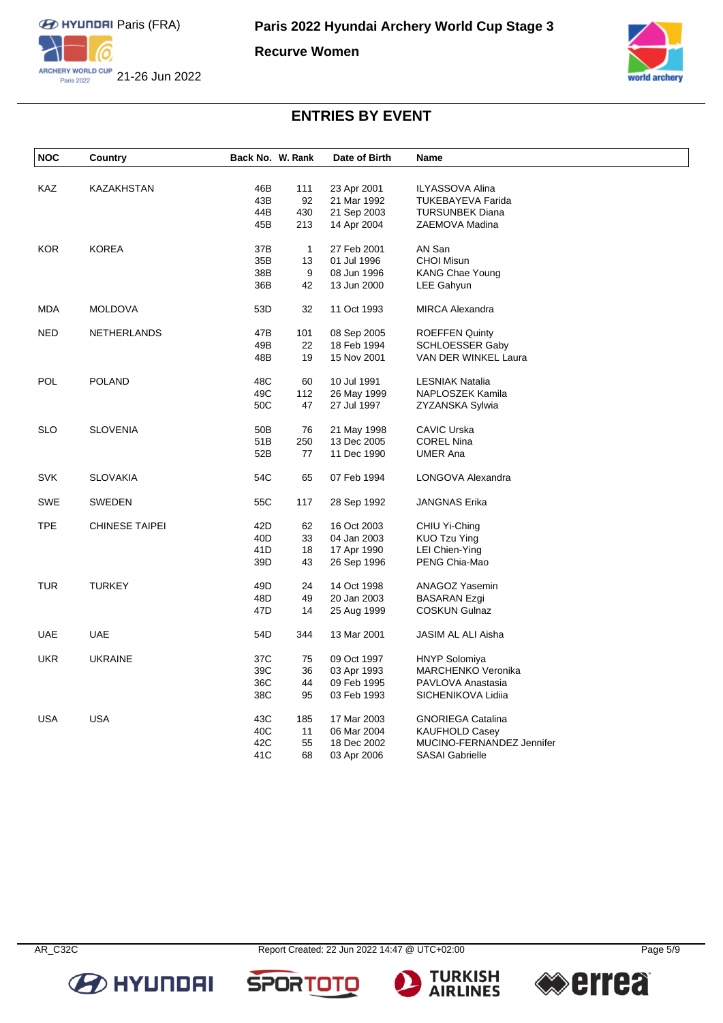

**Recurve Women**



## **ENTRIES BY EVENT**

| <b>NOC</b> | Country               | Back No. W. Rank |              | Date of Birth | <b>Name</b>                                       |
|------------|-----------------------|------------------|--------------|---------------|---------------------------------------------------|
|            |                       |                  |              |               |                                                   |
| KAZ        | KAZAKHSTAN            | 46B              | 111          | 23 Apr 2001   | <b>ILYASSOVA Alina</b>                            |
|            |                       | 43B              | 92           | 21 Mar 1992   | <b>TUKEBAYEVA Farida</b>                          |
|            |                       | 44B              | 430          | 21 Sep 2003   | <b>TURSUNBEK Diana</b>                            |
|            |                       | 45B              | 213          | 14 Apr 2004   | ZAEMOVA Madina                                    |
| <b>KOR</b> | KOREA                 | 37B              | $\mathbf{1}$ | 27 Feb 2001   | AN San                                            |
|            |                       | 35B              | 13           | 01 Jul 1996   | <b>CHOI Misun</b>                                 |
|            |                       | 38B              | 9            | 08 Jun 1996   | KANG Chae Young                                   |
|            |                       | 36B              | 42           | 13 Jun 2000   | <b>LEE Gahyun</b>                                 |
| <b>MDA</b> | <b>MOLDOVA</b>        | 53D              | 32           | 11 Oct 1993   | <b>MIRCA Alexandra</b>                            |
| NED        | <b>NETHERLANDS</b>    | 47B              | 101          | 08 Sep 2005   | <b>ROEFFEN Quinty</b>                             |
|            |                       | 49B              | 22           | 18 Feb 1994   | <b>SCHLOESSER Gaby</b>                            |
|            |                       | 48B              | 19           | 15 Nov 2001   | VAN DER WINKEL Laura                              |
|            |                       |                  |              |               |                                                   |
| <b>POL</b> | <b>POLAND</b>         | 48C              | 60           | 10 Jul 1991   | <b>LESNIAK Natalia</b>                            |
|            |                       | 49C              | 112          | 26 May 1999   | NAPLOSZEK Kamila                                  |
|            |                       | 50C              | 47           | 27 Jul 1997   | ZYZANSKA Sylwia                                   |
| SLO        | <b>SLOVENIA</b>       | 50 <sub>B</sub>  | 76           | 21 May 1998   | <b>CAVIC Urska</b>                                |
|            |                       | 51 <sub>B</sub>  | 250          | 13 Dec 2005   | <b>COREL Nina</b>                                 |
|            |                       | 52B              | 77           | 11 Dec 1990   | <b>UMER Ana</b>                                   |
| <b>SVK</b> | <b>SLOVAKIA</b>       | 54C              | 65           | 07 Feb 1994   | LONGOVA Alexandra                                 |
| <b>SWE</b> | <b>SWEDEN</b>         | 55C              | 117          | 28 Sep 1992   | JANGNAS Erika                                     |
| <b>TPE</b> | <b>CHINESE TAIPEI</b> | 42D              | 62           | 16 Oct 2003   | CHIU Yi-Ching                                     |
|            |                       | 40 <sub>D</sub>  | 33           | 04 Jan 2003   | <b>KUO Tzu Ying</b>                               |
|            |                       | 41D              | 18           | 17 Apr 1990   | LEI Chien-Ying                                    |
|            |                       | 39D              | 43           | 26 Sep 1996   | PENG Chia-Mao                                     |
| <b>TUR</b> | <b>TURKEY</b>         | 49 <sub>D</sub>  | 24           | 14 Oct 1998   | ANAGOZ Yasemin                                    |
|            |                       | 48D              | 49           | 20 Jan 2003   | <b>BASARAN Ezgi</b>                               |
|            |                       | 47D              | 14           | 25 Aug 1999   | <b>COSKUN Gulnaz</b>                              |
| <b>UAE</b> | <b>UAE</b>            | 54D              | 344          | 13 Mar 2001   | JASIM AL ALI Aisha                                |
|            |                       |                  |              |               |                                                   |
| UKR        | <b>UKRAINE</b>        | 37C<br>39C       | 75           | 09 Oct 1997   | <b>HNYP Solomiya</b><br><b>MARCHENKO Veronika</b> |
|            |                       |                  | 36<br>44     | 03 Apr 1993   |                                                   |
|            |                       | 36C              |              | 09 Feb 1995   | PAVLOVA Anastasia                                 |
|            |                       | 38C              | 95           | 03 Feb 1993   | SICHENIKOVA Lidiia                                |
| <b>USA</b> | <b>USA</b>            | 43C              | 185          | 17 Mar 2003   | <b>GNORIEGA Catalina</b>                          |
|            |                       | 40C              | 11           | 06 Mar 2004   | <b>KAUFHOLD Casey</b>                             |
|            |                       | 42C              | 55           | 18 Dec 2002   | MUCINO-FERNANDEZ Jennifer                         |
|            |                       | 41C              | 68           | 03 Apr 2006   | <b>SASAI Gabrielle</b>                            |







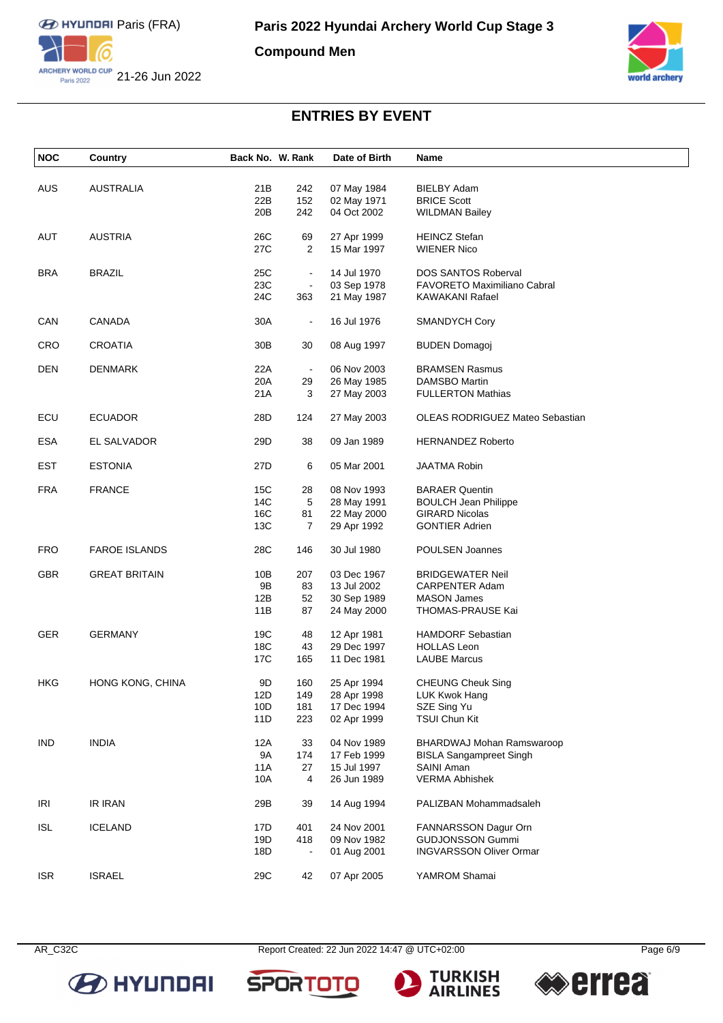

**Compound Men**



# **ENTRIES BY EVENT**

| <b>NOC</b> | Country                 | Back No. W. Rank |                | Date of Birth | Name                                   |
|------------|-------------------------|------------------|----------------|---------------|----------------------------------------|
|            |                         |                  |                |               |                                        |
| <b>AUS</b> | <b>AUSTRALIA</b>        | 21B              | 242            | 07 May 1984   | BIELBY Adam                            |
|            |                         | 22B              | 152            | 02 May 1971   | <b>BRICE Scott</b>                     |
|            |                         | 20B              | 242            | 04 Oct 2002   | <b>WILDMAN Bailey</b>                  |
| AUT        | <b>AUSTRIA</b>          | 26C              | 69             | 27 Apr 1999   | <b>HEINCZ Stefan</b>                   |
|            |                         | 27C              | $\overline{2}$ | 15 Mar 1997   | <b>WIENER Nico</b>                     |
| <b>BRA</b> | <b>BRAZIL</b>           | 25C              | $\blacksquare$ | 14 Jul 1970   | <b>DOS SANTOS Roberval</b>             |
|            |                         | 23C              | $\blacksquare$ | 03 Sep 1978   | <b>FAVORETO Maximiliano Cabral</b>     |
|            |                         | 24C              | 363            | 21 May 1987   | <b>KAWAKANI Rafael</b>                 |
| CAN        | <b>CANADA</b>           | 30A              | $\blacksquare$ | 16 Jul 1976   | <b>SMANDYCH Cory</b>                   |
|            |                         |                  |                |               |                                        |
| <b>CRO</b> | <b>CROATIA</b>          | 30B              | 30             | 08 Aug 1997   | <b>BUDEN Domagoj</b>                   |
| <b>DEN</b> | <b>DENMARK</b>          | 22A              | $\blacksquare$ | 06 Nov 2003   | <b>BRAMSEN Rasmus</b>                  |
|            |                         | 20A              | 29             | 26 May 1985   | <b>DAMSBO Martin</b>                   |
|            |                         | 21 A             | 3              | 27 May 2003   | <b>FULLERTON Mathias</b>               |
| ECU        | <b>ECUADOR</b>          | 28D              | 124            | 27 May 2003   | <b>OLEAS RODRIGUEZ Mateo Sebastian</b> |
| <b>ESA</b> | EL SALVADOR             | 29D              | 38             | 09 Jan 1989   | <b>HERNANDEZ Roberto</b>               |
| <b>EST</b> | <b>ESTONIA</b>          | 27D              | 6              | 05 Mar 2001   | <b>JAATMA Robin</b>                    |
| <b>FRA</b> | <b>FRANCE</b>           | 15C              | 28             | 08 Nov 1993   | <b>BARAER Quentin</b>                  |
|            |                         | 14C              | 5              |               |                                        |
|            |                         |                  |                | 28 May 1991   | <b>BOULCH Jean Philippe</b>            |
|            |                         | 16C              | 81             | 22 May 2000   | <b>GIRARD Nicolas</b>                  |
|            |                         | 13C              | 7              | 29 Apr 1992   | <b>GONTIER Adrien</b>                  |
| <b>FRO</b> | <b>FAROE ISLANDS</b>    | 28C              | 146            | 30 Jul 1980   | POULSEN Joannes                        |
| <b>GBR</b> | <b>GREAT BRITAIN</b>    | 10B              | 207            | 03 Dec 1967   | <b>BRIDGEWATER Neil</b>                |
|            |                         | 9Β               | 83             | 13 Jul 2002   | CARPENTER Adam                         |
|            |                         | 12B              | 52             | 30 Sep 1989   | <b>MASON James</b>                     |
|            |                         | 11B              | 87             | 24 May 2000   | THOMAS-PRAUSE Kai                      |
| <b>GER</b> | <b>GERMANY</b>          | 19C              | 48             | 12 Apr 1981   | <b>HAMDORF Sebastian</b>               |
|            |                         | 18C              | 43             | 29 Dec 1997   | <b>HOLLAS Leon</b>                     |
|            |                         | 17C              | 165            | 11 Dec 1981   | <b>LAUBE Marcus</b>                    |
| HKG        | <b>HONG KONG, CHINA</b> | 9D               | 160            | 25 Apr 1994   | <b>CHEUNG Cheuk Sing</b>               |
|            |                         | 12D              | 149            | 28 Apr 1998   | LUK Kwok Hang                          |
|            |                         | 10D              | 181            | 17 Dec 1994   | SZE Sing Yu                            |
|            |                         | 11D              | 223            | 02 Apr 1999   | <b>TSUI Chun Kit</b>                   |
| IND.       | <b>INDIA</b>            | 12A              | 33             | 04 Nov 1989   | BHARDWAJ Mohan Ramswaroop              |
|            |                         | <b>9A</b>        | 174            | 17 Feb 1999   | <b>BISLA Sangampreet Singh</b>         |
|            |                         | 11A              | 27             | 15 Jul 1997   | SAINI Aman                             |
|            |                         | 10A              | 4              | 26 Jun 1989   | <b>VERMA Abhishek</b>                  |
| IRI        | <b>IR IRAN</b>          | 29B              | 39             | 14 Aug 1994   | PALIZBAN Mohammadsaleh                 |
|            |                         |                  |                |               |                                        |
| <b>ISL</b> | <b>ICELAND</b>          | 17D              | 401            | 24 Nov 2001   | FANNARSSON Dagur Orn                   |
|            |                         | 19D              | 418            | 09 Nov 1982   | <b>GUDJONSSON Gummi</b>                |
|            |                         | 18D              |                | 01 Aug 2001   | <b>INGVARSSON Oliver Ormar</b>         |
| <b>ISR</b> | <b>ISRAEL</b>           | 29C              | 42             | 07 Apr 2005   | YAMROM Shamai                          |



AR\_C32C Report Created: 22 Jun 2022 14:47 @ UTC+02:00 Page 6/9

**SPORTOT** 

**TURKISH<br>AIRLINES** 

**errea** 

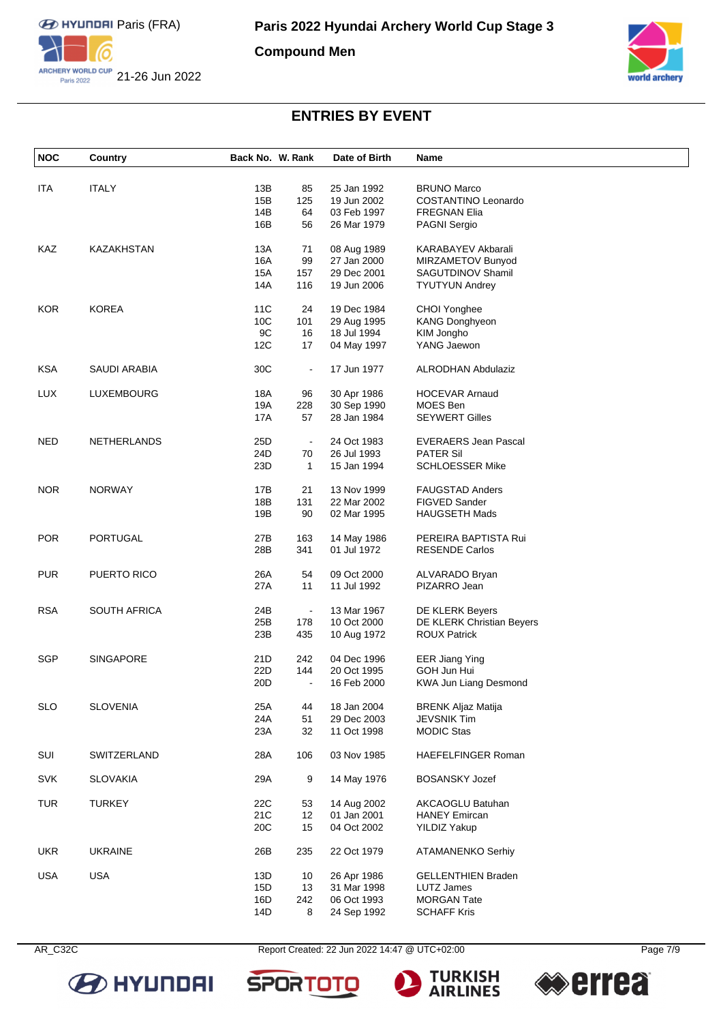

**Compound Men**



# **ENTRIES BY EVENT**

| <b>ITA</b> | <b>ITALY</b>        | 13B             | 85             | 25 Jan 1992 | <b>BRUNO Marco</b>          |
|------------|---------------------|-----------------|----------------|-------------|-----------------------------|
|            |                     | 15B             | 125            | 19 Jun 2002 | COSTANTINO Leonardo         |
|            |                     | 14B             | 64             | 03 Feb 1997 | <b>FREGNAN Elia</b>         |
|            |                     | 16B             | 56             | 26 Mar 1979 | <b>PAGNI Sergio</b>         |
| KAZ        | KAZAKHSTAN          | 13A             | 71             | 08 Aug 1989 | KARABAYEV Akbarali          |
|            |                     | 16A             | 99             | 27 Jan 2000 | MIRZAMETOV Bunyod           |
|            |                     | 15A             | 157            | 29 Dec 2001 | SAGUTDINOV Shamil           |
|            |                     | 14A             | 116            | 19 Jun 2006 | <b>TYUTYUN Andrey</b>       |
| <b>KOR</b> | <b>KOREA</b>        | 11C             | 24             | 19 Dec 1984 | CHOI Yonghee                |
|            |                     | 10C             | 101            | 29 Aug 1995 | <b>KANG Donghyeon</b>       |
|            |                     | 9C              | 16             | 18 Jul 1994 | KIM Jongho                  |
|            |                     | 12C             | 17             | 04 May 1997 | YANG Jaewon                 |
|            |                     |                 |                |             |                             |
| <b>KSA</b> | SAUDI ARABIA        | 30C             | $\blacksquare$ | 17 Jun 1977 | <b>ALRODHAN Abdulaziz</b>   |
| <b>LUX</b> | LUXEMBOURG          | 18A             | 96             | 30 Apr 1986 | <b>HOCEVAR Arnaud</b>       |
|            |                     | 19A             | 228            | 30 Sep 1990 | MOES Ben                    |
|            |                     | 17A             | 57             | 28 Jan 1984 | <b>SEYWERT Gilles</b>       |
| <b>NED</b> | NETHERLANDS         | 25D             | $\blacksquare$ | 24 Oct 1983 | <b>EVERAERS Jean Pascal</b> |
|            |                     | 24D             | 70             | 26 Jul 1993 | <b>PATER Sil</b>            |
|            |                     | 23D             | $\mathbf{1}$   | 15 Jan 1994 | <b>SCHLOESSER Mike</b>      |
| <b>NOR</b> | <b>NORWAY</b>       | 17B             | 21             | 13 Nov 1999 | <b>FAUGSTAD Anders</b>      |
|            |                     | 18B             | 131            | 22 Mar 2002 | FIGVED Sander               |
|            |                     | 19B             | 90             | 02 Mar 1995 | <b>HAUGSETH Mads</b>        |
|            |                     |                 |                |             |                             |
| POR        | PORTUGAL            | 27B             | 163            | 14 May 1986 | PEREIRA BAPTISTA Rui        |
|            |                     | 28B             | 341            | 01 Jul 1972 | <b>RESENDE Carlos</b>       |
| <b>PUR</b> | PUERTO RICO         | 26A             | 54             | 09 Oct 2000 | ALVARADO Bryan              |
|            |                     | 27A             | 11             | 11 Jul 1992 | PIZARRO Jean                |
| <b>RSA</b> | <b>SOUTH AFRICA</b> | 24B             | $\blacksquare$ | 13 Mar 1967 | DE KLERK Beyers             |
|            |                     | 25B             | 178            | 10 Oct 2000 | DE KLERK Christian Beyers   |
|            |                     | 23B             | 435            | 10 Aug 1972 | <b>ROUX Patrick</b>         |
| SGP        | <b>SINGAPORE</b>    | 21D             | 242            | 04 Dec 1996 | <b>EER Jiang Ying</b>       |
|            |                     | 22D             | 144            | 20 Oct 1995 | GOH Jun Hui                 |
|            |                     | 20D             | $\blacksquare$ | 16 Feb 2000 | KWA Jun Liang Desmond       |
| <b>SLO</b> | <b>SLOVENIA</b>     | 25A             | 44             | 18 Jan 2004 | <b>BRENK Aljaz Matija</b>   |
|            |                     | 24A             | 51             | 29 Dec 2003 | <b>JEVSNIK Tim</b>          |
|            |                     | 23A             | 32             | 11 Oct 1998 | <b>MODIC Stas</b>           |
| SUI        | SWITZERLAND         | 28A             | 106            | 03 Nov 1985 | HAEFELFINGER Roman          |
|            |                     |                 |                |             |                             |
| <b>SVK</b> | <b>SLOVAKIA</b>     | 29A             | 9              | 14 May 1976 | <b>BOSANSKY Jozef</b>       |
| <b>TUR</b> | <b>TURKEY</b>       | 22C             | 53             | 14 Aug 2002 | AKCAOGLU Batuhan            |
|            |                     | 21C             | 12             | 01 Jan 2001 | <b>HANEY Emircan</b>        |
|            |                     | 20 <sub>C</sub> | 15             | 04 Oct 2002 | <b>YILDIZ Yakup</b>         |
| <b>UKR</b> | <b>UKRAINE</b>      | 26B             | 235            | 22 Oct 1979 | <b>ATAMANENKO Serhiy</b>    |
| <b>USA</b> | <b>USA</b>          | 13D             | 10             | 26 Apr 1986 | <b>GELLENTHIEN Braden</b>   |
|            |                     | 15D             | 13             | 31 Mar 1998 | LUTZ James                  |
|            |                     | 16D             | 242            | 06 Oct 1993 | <b>MORGAN Tate</b>          |
|            |                     | 14D             | 8              | 24 Sep 1992 | <b>SCHAFF Kris</b>          |



**SPORTO** 





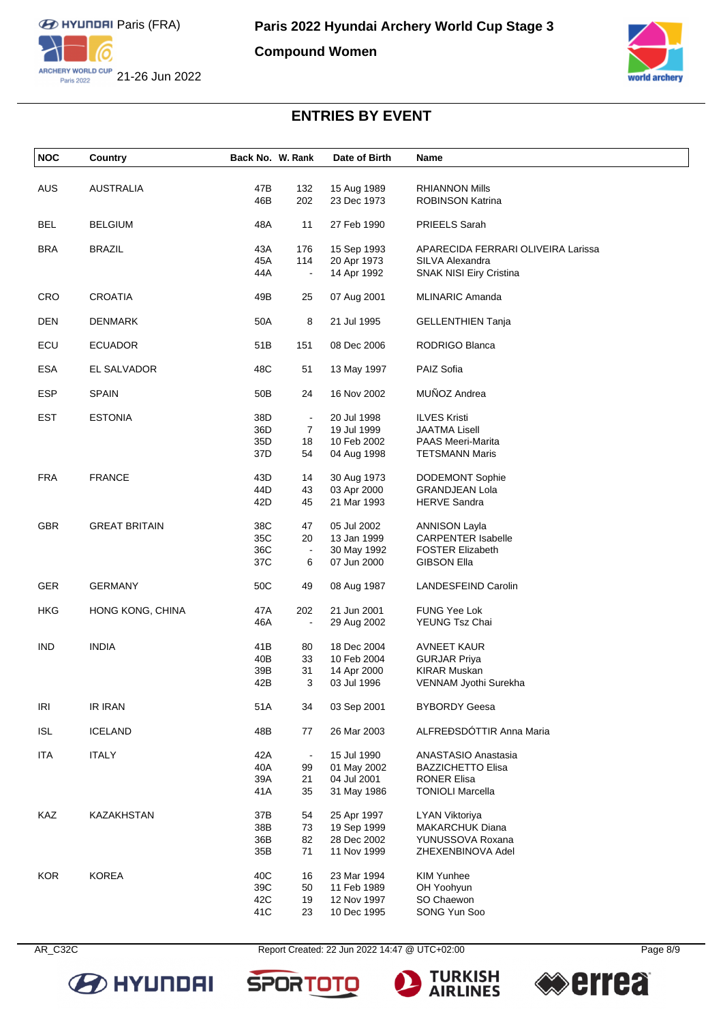

**Compound Women**



# **ENTRIES BY EVENT**

| <b>NOC</b> | Country              | Back No. W. Rank |                | Date of Birth              | Name                                             |
|------------|----------------------|------------------|----------------|----------------------------|--------------------------------------------------|
|            |                      | 47B              |                |                            |                                                  |
| AUS        | <b>AUSTRALIA</b>     | 46B              | 132<br>202     | 15 Aug 1989<br>23 Dec 1973 | <b>RHIANNON Mills</b><br><b>ROBINSON Katrina</b> |
| <b>BEL</b> | <b>BELGIUM</b>       | 48A              | 11             | 27 Feb 1990                | PRIEELS Sarah                                    |
|            |                      |                  |                |                            |                                                  |
| <b>BRA</b> | <b>BRAZIL</b>        | 43A              | 176            | 15 Sep 1993                | APARECIDA FERRARI OLIVEIRA Larissa               |
|            |                      | 45A              | 114            | 20 Apr 1973                | SILVA Alexandra                                  |
|            |                      | 44A              | $\Box$         | 14 Apr 1992                | SNAK NISI Eiry Cristina                          |
| <b>CRO</b> | <b>CROATIA</b>       | 49B              | 25             | 07 Aug 2001                | <b>MLINARIC Amanda</b>                           |
| DEN        | <b>DENMARK</b>       | 50A              | 8              | 21 Jul 1995                | <b>GELLENTHIEN Tanja</b>                         |
| ECU        | <b>ECUADOR</b>       | 51B              | 151            | 08 Dec 2006                | RODRIGO Blanca                                   |
| ESA        | EL SALVADOR          | 48C              | 51             | 13 May 1997                | PAIZ Sofia                                       |
| <b>ESP</b> | <b>SPAIN</b>         | 50 <sub>B</sub>  | 24             | 16 Nov 2002                | MUÑOZ Andrea                                     |
| <b>EST</b> | <b>ESTONIA</b>       | 38D              | $\blacksquare$ | 20 Jul 1998                | <b>ILVES Kristi</b>                              |
|            |                      | 36D              | 7              | 19 Jul 1999                | <b>JAATMA Lisell</b>                             |
|            |                      | 35D              | 18             | 10 Feb 2002                | <b>PAAS Meeri-Marita</b>                         |
|            |                      | 37D              | 54             | 04 Aug 1998                | <b>TETSMANN Maris</b>                            |
| <b>FRA</b> | <b>FRANCE</b>        | 43D              |                | 30 Aug 1973                |                                                  |
|            |                      |                  | 14             |                            | DODEMONT Sophie                                  |
|            |                      | 44D              | 43             | 03 Apr 2000                | <b>GRANDJEAN Lola</b>                            |
|            |                      | 42D              | 45             | 21 Mar 1993                | <b>HERVE Sandra</b>                              |
| <b>GBR</b> | <b>GREAT BRITAIN</b> | 38C              | 47             | 05 Jul 2002                | <b>ANNISON Layla</b>                             |
|            |                      | 35C              | 20             | 13 Jan 1999                | <b>CARPENTER Isabelle</b>                        |
|            |                      | 36C              | $\blacksquare$ | 30 May 1992                | <b>FOSTER Elizabeth</b>                          |
|            |                      | 37C              | 6              | 07 Jun 2000                | <b>GIBSON Ella</b>                               |
| GER        | <b>GERMANY</b>       | 50C              | 49             | 08 Aug 1987                | LANDESFEIND Carolin                              |
| HKG        | HONG KONG, CHINA     | 47A              | 202            | 21 Jun 2001                | FUNG Yee Lok                                     |
|            |                      | 46A              | $\blacksquare$ | 29 Aug 2002                | <b>YEUNG Tsz Chai</b>                            |
| <b>IND</b> | <b>INDIA</b>         | 41B              |                | 18 Dec 2004                |                                                  |
|            |                      |                  | 80             |                            | AVNEET KAUR                                      |
|            |                      | 40B<br>39B       | 33<br>31       | 10 Feb 2004<br>14 Apr 2000 | <b>GURJAR Priya</b><br><b>KIRAR Muskan</b>       |
|            |                      | 42B              | 3              | 03 Jul 1996                |                                                  |
|            |                      |                  |                |                            | VENNAM Jyothi Surekha                            |
| IRI        | <b>IR IRAN</b>       | 51A              | 34             | 03 Sep 2001                | <b>BYBORDY Geesa</b>                             |
| <b>ISL</b> | <b>ICELAND</b>       | 48B              | 77             | 26 Mar 2003                | ALFREĐSDÓTTIR Anna Maria                         |
| <b>ITA</b> | <b>ITALY</b>         | 42A              | $\blacksquare$ | 15 Jul 1990                | ANASTASIO Anastasia                              |
|            |                      | 40A              | 99             | 01 May 2002                | <b>BAZZICHETTO Elisa</b>                         |
|            |                      | 39A              | 21             | 04 Jul 2001                | <b>RONER Elisa</b>                               |
|            |                      | 41A              | 35             | 31 May 1986                | <b>TONIOLI Marcella</b>                          |
| KAZ        | <b>KAZAKHSTAN</b>    | 37B              | 54             | 25 Apr 1997                | <b>LYAN Viktoriya</b>                            |
|            |                      | 38B              | 73             | 19 Sep 1999                | <b>MAKARCHUK Diana</b>                           |
|            |                      | 36B              | 82             | 28 Dec 2002                | YUNUSSOVA Roxana                                 |
|            |                      | 35B              | 71             | 11 Nov 1999                | ZHEXENBINOVA Adel                                |
|            |                      |                  |                |                            |                                                  |
| <b>KOR</b> | <b>KOREA</b>         | 40C              | 16             | 23 Mar 1994                | <b>KIM Yunhee</b>                                |
|            |                      | 39C              | 50             | 11 Feb 1989                | OH Yoohyun                                       |
|            |                      | 42C              | 19             | 12 Nov 1997                | SO Chaewon                                       |
|            |                      | 41C              | 23             | 10 Dec 1995                | SONG Yun Soo                                     |



AR\_C32C Report Created: 22 Jun 2022 14:47 @ UTC+02:00 Page 8/9